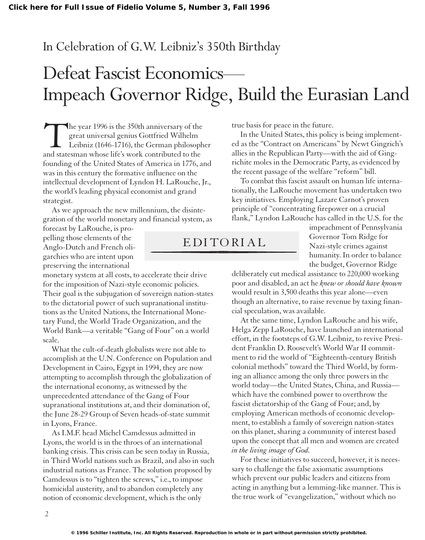#### In Celebration of G.W. Leibniz's 350th Birthday

# Defeat Fascist Economics— Impeach Governor Ridge, Build the Eurasian Land

The year 1996 is the 350th anniversary of the<br>great universal genius Gottfried Wilhelm<br>Leibniz (1646-1716), the German philosoph<br>and statesman whose life's work contributed to the great universal genius Gottfried Wilhelm Leibniz (1646-1716), the German philosopher and statesman whose life's work contributed to the founding of the United States of America in 1776, and was in this century the formative influence on the intellectual development of Lyndon H. LaRouche, Jr., the world's leading physical economist and grand strategist.

As we approach the new millennium, the disintegration of the world monetary and financial system, as

forecast by LaRouche, is propelling those elements of the Anglo-Dutch and French oligarchies who are intent upon preserving the international

monetary system at all costs, to accelerate their drive for the imposition of Nazi-style economic policies. Their goal is the subjugation of sovereign nation-states to the dictatorial power of such supranational institutions as the United Nations, the International Monetary Fund, the World Trade Organization, and the World Bank—a veritable "Gang of Four" on a world scale.

What the cult-of-death globalists were not able to accomplish at the U.N. Conference on Population and Development in Cairo, Egypt in 1994, they are now attempting to accomplish through the globalization of the international economy, as witnessed by the unprecedented attendance of the Gang of Four supranational institutions at, and their domination of, the June 28-29 Group of Seven heads-of-state summit in Lyons, France.

As I.M.F. head Michel Camdessus admitted in Lyons, the world is in the throes of an international banking crisis. This crisis can be seen today in Russia, in Third World nations such as Brazil, and also in such industrial nations as France. The solution proposed by Camdessus is to "tighten the screws," i.e., to impose homicidal austerity, and to abandon completely any notion of economic development, which is the only

true basis for peace in the future.

In the United States, this policy is being implemented as the "Contract on Americans" by Newt Gingrich's allies in the Republican Party—with the aid of Gingrichite moles in the Democratic Party, as evidenced by the recent passage of the welfare "reform" bill.

To combat this fascist assault on human life internationally, the LaRouche movement has undertaken two key initiatives. Employing Lazare Carnot's proven principle of "concentrating firepower on a crucial flank," Lyndon LaRouche has called in the U.S. for the

### EDITORIAL

impeachment of Pennsylvania Governor Tom Ridge for Nazi-style crimes against humanity. In order to balance the budget, Governor Ridge

deliberately cut medical assistance to 220,000 working poor and disabled, an act he *knew or should have known* would result in 3,500 deaths this year alone—even though an alternative, to raise revenue by taxing financial speculation, was available.

At the same time, Lyndon LaRouche and his wife, Helga Zepp LaRouche, have launched an international effort, in the footsteps of G.W. Leibniz, to revive President Franklin D. Roosevelt's World War II commitment to rid the world of "Eighteenth-century British colonial methods" toward the Third World, by forming an alliance among the only three powers in the world today—the United States, China, and Russia which have the combined power to overthrow the fascist dictatorship of the Gang of Four; and, by employing American methods of economic development, to establish a family of sovereign nation-states on this planet, sharing a community of interest based upon the concept that all men and women are created *in the living image of God.*

For these initiatives to succeed, however, it is necessary to challenge the false axiomatic assumptions which prevent our public leaders and citizens from acting in anything but a lemming-like manner. This is the true work of "evangelization," without which no